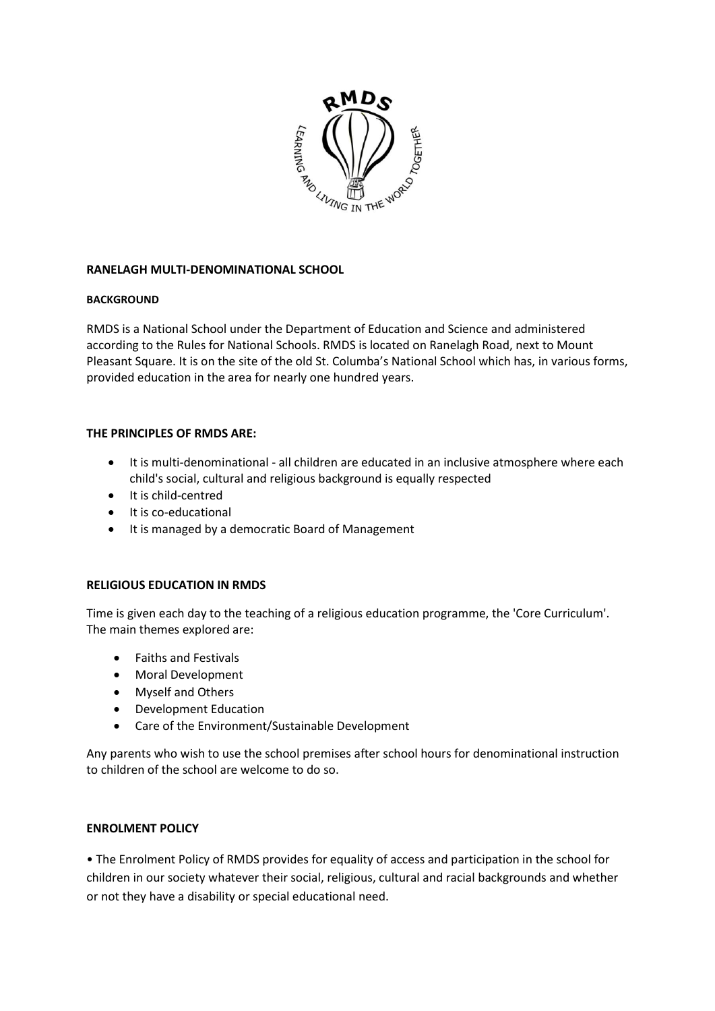

### **RANELAGH MULTI-DENOMINATIONAL SCHOOL**

#### **BACKGROUND**

RMDS is a National School under the Department of Education and Science and administered according to the Rules for National Schools. RMDS is located on Ranelagh Road, next to Mount Pleasant Square. It is on the site of the old St. Columba's National School which has, in various forms, provided education in the area for nearly one hundred years.

#### **THE PRINCIPLES OF RMDS ARE:**

- It is multi-denominational all children are educated in an inclusive atmosphere where each child's social, cultural and religious background is equally respected
- It is child-centred
- It is co-educational
- It is managed by a democratic Board of Management

#### **RELIGIOUS EDUCATION IN RMDS**

Time is given each day to the teaching of a religious education programme, the 'Core Curriculum'. The main themes explored are:

- Faiths and Festivals
- Moral Development
- Myself and Others
- Development Education
- Care of the Environment/Sustainable Development

Any parents who wish to use the school premises after school hours for denominational instruction to children of the school are welcome to do so.

#### **ENROLMENT POLICY**

• The Enrolment Policy of RMDS provides for equality of access and participation in the school for children in our society whatever their social, religious, cultural and racial backgrounds and whether or not they have a disability or special educational need.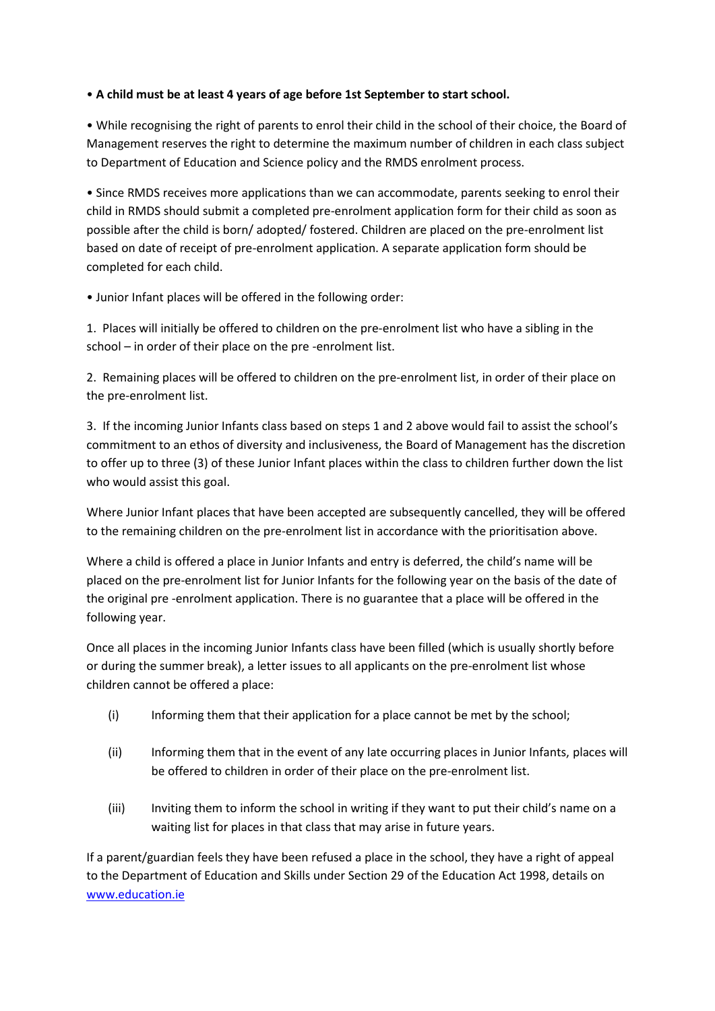## • **A child must be at least 4 years of age before 1st September to start school.**

• While recognising the right of parents to enrol their child in the school of their choice, the Board of Management reserves the right to determine the maximum number of children in each class subject to Department of Education and Science policy and the RMDS enrolment process.

• Since RMDS receives more applications than we can accommodate, parents seeking to enrol their child in RMDS should submit a completed pre-enrolment application form for their child as soon as possible after the child is born/ adopted/ fostered. Children are placed on the pre-enrolment list based on date of receipt of pre-enrolment application. A separate application form should be completed for each child.

• Junior Infant places will be offered in the following order:

1. Places will initially be offered to children on the pre-enrolment list who have a sibling in the school – in order of their place on the pre -enrolment list.

2. Remaining places will be offered to children on the pre-enrolment list, in order of their place on the pre-enrolment list.

3. If the incoming Junior Infants class based on steps 1 and 2 above would fail to assist the school's commitment to an ethos of diversity and inclusiveness, the Board of Management has the discretion to offer up to three (3) of these Junior Infant places within the class to children further down the list who would assist this goal.

Where Junior Infant places that have been accepted are subsequently cancelled, they will be offered to the remaining children on the pre-enrolment list in accordance with the prioritisation above.

Where a child is offered a place in Junior Infants and entry is deferred, the child's name will be placed on the pre-enrolment list for Junior Infants for the following year on the basis of the date of the original pre -enrolment application. There is no guarantee that a place will be offered in the following year.

Once all places in the incoming Junior Infants class have been filled (which is usually shortly before or during the summer break), a letter issues to all applicants on the pre-enrolment list whose children cannot be offered a place:

- (i) Informing them that their application for a place cannot be met by the school;
- (ii) Informing them that in the event of any late occurring places in Junior Infants, places will be offered to children in order of their place on the pre-enrolment list.
- (iii) Inviting them to inform the school in writing if they want to put their child's name on a waiting list for places in that class that may arise in future years.

If a parent/guardian feels they have been refused a place in the school, they have a right of appeal to the Department of Education and Skills under Section 29 of the Education Act 1998, details on [www.education.ie](http://www.education.ie/)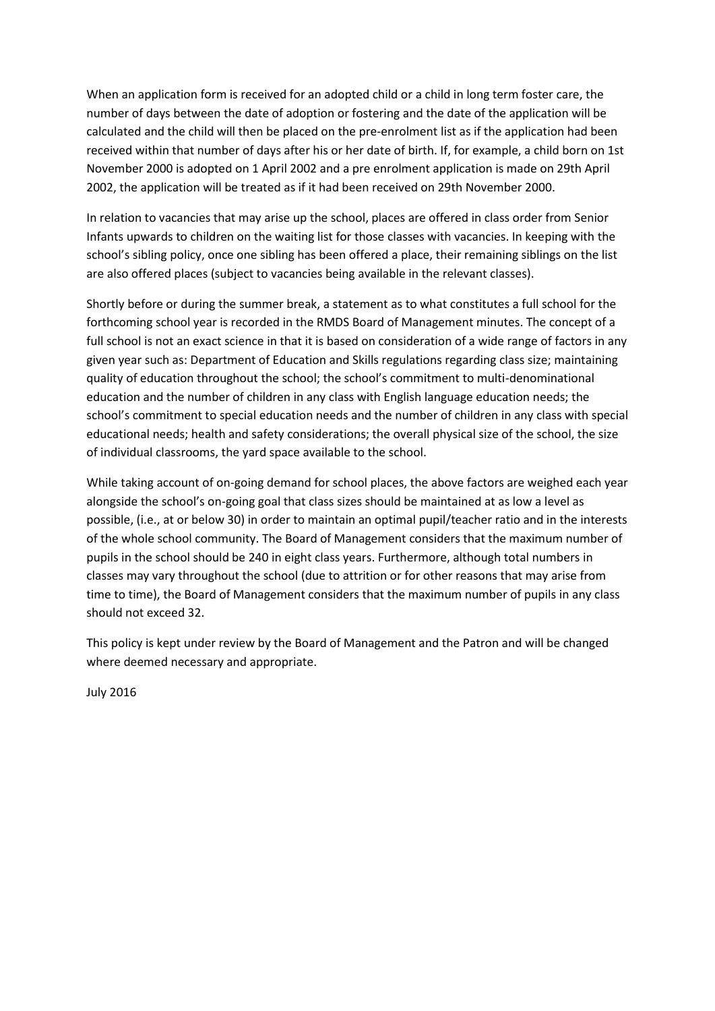When an application form is received for an adopted child or a child in long term foster care, the number of days between the date of adoption or fostering and the date of the application will be calculated and the child will then be placed on the pre-enrolment list as if the application had been received within that number of days after his or her date of birth. If, for example, a child born on 1st November 2000 is adopted on 1 April 2002 and a pre enrolment application is made on 29th April 2002, the application will be treated as if it had been received on 29th November 2000.

In relation to vacancies that may arise up the school, places are offered in class order from Senior Infants upwards to children on the waiting list for those classes with vacancies. In keeping with the school's sibling policy, once one sibling has been offered a place, their remaining siblings on the list are also offered places (subject to vacancies being available in the relevant classes).

Shortly before or during the summer break, a statement as to what constitutes a full school for the forthcoming school year is recorded in the RMDS Board of Management minutes. The concept of a full school is not an exact science in that it is based on consideration of a wide range of factors in any given year such as: Department of Education and Skills regulations regarding class size; maintaining quality of education throughout the school; the school's commitment to multi-denominational education and the number of children in any class with English language education needs; the school's commitment to special education needs and the number of children in any class with special educational needs; health and safety considerations; the overall physical size of the school, the size of individual classrooms, the yard space available to the school.

While taking account of on-going demand for school places, the above factors are weighed each year alongside the school's on-going goal that class sizes should be maintained at as low a level as possible, (i.e., at or below 30) in order to maintain an optimal pupil/teacher ratio and in the interests of the whole school community. The Board of Management considers that the maximum number of pupils in the school should be 240 in eight class years. Furthermore, although total numbers in classes may vary throughout the school (due to attrition or for other reasons that may arise from time to time), the Board of Management considers that the maximum number of pupils in any class should not exceed 32.

This policy is kept under review by the Board of Management and the Patron and will be changed where deemed necessary and appropriate.

July 2016